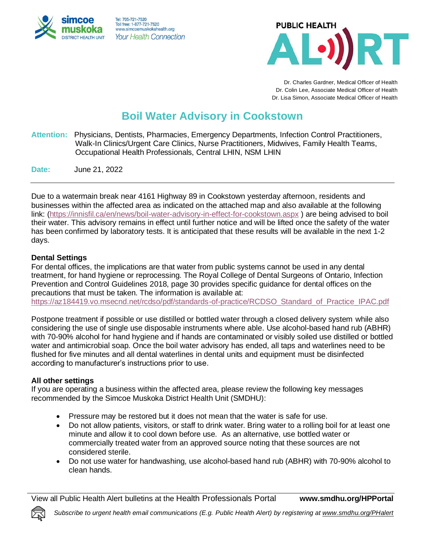



Dr. Charles Gardner, Medical Officer of Health Dr. Colin Lee, Associate Medical Officer of Health Dr. Lisa Simon, Associate Medical Officer of Health

## **Boil Water Advisory in Cookstown**

**Attention:** Physicians, Dentists, Pharmacies, Emergency Departments, Infection Control Practitioners, Walk-In Clinics/Urgent Care Clinics, Nurse Practitioners, Midwives, Family Health Teams, Occupational Health Professionals, Central LHIN, NSM LHIN

**Date:** June 21, 2022

Due to a watermain break near 4161 Highway 89 in Cookstown yesterday afternoon, residents and businesses within the affected area as indicated on the attached map and also available at the following link: [\(https://innisfil.ca/en/news/boil-water-advisory-in-effect-for-cookstown.aspx](https://innisfil.ca/en/news/boil-water-advisory-in-effect-for-cookstown.aspx) ) are being advised to boil their water. This advisory remains in effect until further notice and will be lifted once the safety of the water has been confirmed by laboratory tests. It is anticipated that these results will be available in the next 1-2 days.

## **Dental Settings**

For dental offices, the implications are that water from public systems cannot be used in any dental treatment, for hand hygiene or reprocessing. The Royal College of Dental Surgeons of Ontario, Infection Prevention and Control Guidelines 2018, page 30 provides specific guidance for dental offices on the precautions that must be taken. The information is available at: [https://az184419.vo.msecnd.net/rcdso/pdf/standards-of-practice/RCDSO\\_Standard\\_of\\_Practice\\_IPAC.pdf](https://az184419.vo.msecnd.net/rcdso/pdf/standards-of-practice/RCDSO_Standard_of_Practice_IPAC.pdf)

Postpone treatment if possible or use distilled or bottled water through a closed delivery system while also considering the use of single use disposable instruments where able. Use alcohol-based hand rub (ABHR) with 70-90% alcohol for hand hygiene and if hands are contaminated or visibly soiled use distilled or bottled water and antimicrobial soap. Once the boil water advisory has ended, all taps and waterlines need to be flushed for five minutes and all dental waterlines in dental units and equipment must be disinfected according to manufacturer's instructions prior to use.

## **All other settings**

If you are operating a business within the affected area, please review the following key messages recommended by the Simcoe Muskoka District Health Unit (SMDHU):

- Pressure may be restored but it does not mean that the water is safe for use.
- Do not allow patients, visitors, or staff to drink water. Bring water to a rolling boil for at least one minute and allow it to cool down before use. As an alternative, use bottled water or commercially treated water from an approved source noting that these sources are not considered sterile.
- Do not use water for handwashing, use alcohol-based hand rub (ABHR) with 70-90% alcohol to clean hands.

View all Public Health Alert bulletins at the Health Professionals Portal **www.smdhu.org/HPPortal**

*Subscribe to urgent health email communications (E.g. Public Health Alert) by registering a[t www.smdhu.org/PHalert](http://www.smdhu.org/PHalert)*